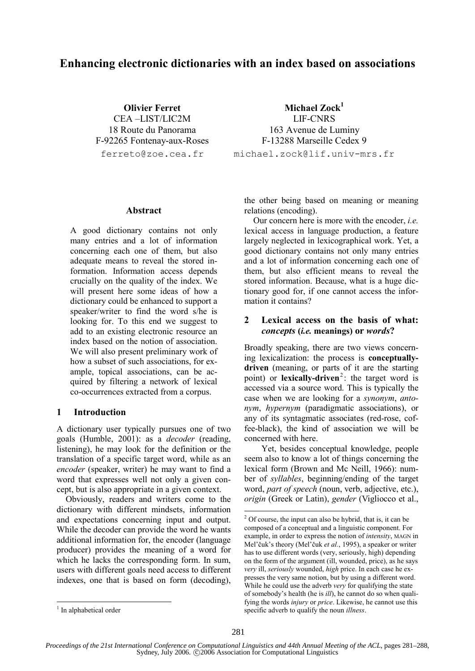# **Enhancing electronic dictionaries with an index based on associations**

**Olivier Ferret**  CEA –LIST/LIC2M 18 Route du Panorama F-92265 Fontenay-aux-Roses ferreto@zoe.cea.fr

**Michael Zock<sup>1</sup>** LIF-CNRS 163 Avenue de Luminy F-13288 Marseille Cedex 9 michael.zock@lif.univ-mrs.fr

#### **Abstract**

A good dictionary contains not only many entries and a lot of information concerning each one of them, but also adequate means to reveal the stored information. Information access depends crucially on the quality of the index. We will present here some ideas of how a dictionary could be enhanced to support a speaker/writer to find the word s/he is looking for. To this end we suggest to add to an existing electronic resource an index based on the notion of association. We will also present preliminary work of how a subset of such associations, for example, topical associations, can be acquired by filtering a network of lexical co-occurrences extracted from a corpus.

#### **1 Introduction**

A dictionary user typically pursues one of two goals (Humble, 2001): as a *decoder* (reading, listening), he may look for the definition or the translation of a specific target word, while as an *encoder* (speaker, writer) he may want to find a word that expresses well not only a given concept, but is also appropriate in a given context.

Obviously, readers and writers come to the dictionary with different mindsets, information and expectations concerning input and output. While the decoder can provide the word he wants additional information for, the encoder (language producer) provides the meaning of a word for which he lacks the corresponding form. In sum, users with different goals need access to different indexes, one that is based on form (decoding),

the other being based on meaning or meaning relations (encoding).

Our concern here is more with the encoder, *i.e.* lexical access in language production, a feature largely neglected in lexicographical work. Yet, a good dictionary contains not only many entries and a lot of information concerning each one of them, but also efficient means to reveal the stored information. Because, what is a huge dictionary good for, if one cannot access the information it contains?

## **2 Lexical access on the basis of what:**  *concepts* **(***i.e.* **meanings) or** *words***?**

Broadly speaking, there are two views concerning lexicalization: the process is **conceptuallydriven** (meaning, or parts of it are the starting point) or **lexically-driven**<sup>2</sup>: the target word is accessed via a source word. This is typically the case when we are looking for a *synonym*, *antonym*, *hypernym* (paradigmatic associations), or any of its syntagmatic associates (red-rose, coffee-black), the kind of association we will be concerned with here.

Yet, besides conceptual knowledge, people seem also to know a lot of things concerning the lexical form (Brown and Mc Neill, 1966): number of *syllables*, beginning/ending of the target word, *part of speech* (noun, verb, adjective, etc.), *origin* (Greek or Latin), *gender* (Vigliocco et al.,

<sup>&</sup>lt;sup>2</sup> Of course, the input can also be hybrid, that is, it can be composed of a conceptual and a linguistic component. For example, in order to express the notion of *intensity*, MAGN in Mel'čuk's theory (Mel<sup>'</sup>čuk *et al.*, 1995), a speaker or writer has to use different words (very, seriously, high) depending on the form of the argument (ill, wounded, price), as he says *very* ill, *seriously* wounded, *high* price. In each case he expresses the very same notion, but by using a different word. While he could use the adverb *very* for qualifying the state of somebody's health (he is *ill*), he cannot do so when qualifying the words *injury* or *price*. Likewise, he cannot use this specific adverb to qualify the noun *illness*.

<sup>&</sup>lt;sup>1</sup> In alphabetical order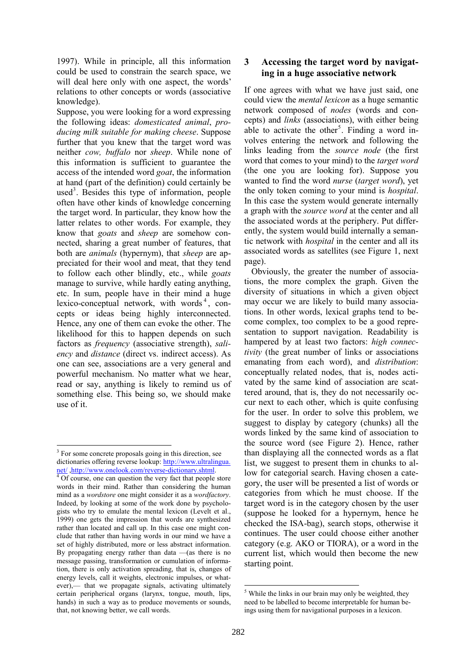1997). While in principle, all this information could be used to constrain the search space, we will deal here only with one aspect, the words' relations to other concepts or words (associative knowledge).

Suppose, you were looking for a word expressing the following ideas: *domesticated animal*, *producing milk suitable for making cheese*. Suppose further that you knew that the target word was neither *cow, buffalo* nor *sheep*. While none of this information is sufficient to guarantee the access of the intended word *goat*, the information at hand (part of the definition) could certainly be used<sup>3</sup>. Besides this type of information, people often have other kinds of knowledge concerning the target word. In particular, they know how the latter relates to other words. For example, they know that *goats* and *sheep* are somehow connected, sharing a great number of features, that both are *animals* (hypernym), that *sheep* are appreciated for their wool and meat, that they tend to follow each other blindly, etc., while *goats* manage to survive, while hardly eating anything, etc. In sum, people have in their mind a huge lexico-conceptual network, with words<sup>4</sup>, concepts or ideas being highly interconnected. Hence, any one of them can evoke the other. The likelihood for this to happen depends on such factors as *frequency* (associative strength), *saliency* and *distance* (direct vs. indirect access). As one can see, associations are a very general and powerful mechanism. No matter what we hear, read or say, anything is likely to remind us of something else. This being so, we should make use of it.

# **3 Accessing the target word by navigating in a huge associative network**

If one agrees with what we have just said, one could view the *mental lexicon* as a huge semantic network composed of *nodes* (words and concepts) and *links* (associations), with either being able to activate the other<sup>5</sup>. Finding a word involves entering the network and following the links leading from the *source node* (the first word that comes to your mind) to the *target word* (the one you are looking for). Suppose you wanted to find the word *nurse* (*target word*), yet the only token coming to your mind is *hospital*. In this case the system would generate internally a graph with the *source word* at the center and all the associated words at the periphery. Put differently, the system would build internally a semantic network with *hospital* in the center and all its associated words as satellites (see Figure 1, next page).

Obviously, the greater the number of associations, the more complex the graph. Given the diversity of situations in which a given object may occur we are likely to build many associations. In other words, lexical graphs tend to become complex, too complex to be a good representation to support navigation. Readability is hampered by at least two factors: *high connectivity* (the great number of links or associations emanating from each word), and *distribution*: conceptually related nodes, that is, nodes activated by the same kind of association are scattered around, that is, they do not necessarily occur next to each other, which is quite confusing for the user. In order to solve this problem, we suggest to display by category (chunks) all the words linked by the same kind of association to the source word (see Figure 2). Hence, rather than displaying all the connected words as a flat list, we suggest to present them in chunks to allow for categorial search. Having chosen a category, the user will be presented a list of words or categories from which he must choose. If the target word is in the category chosen by the user (suppose he looked for a hypernym, hence he checked the ISA-bag), search stops, otherwise it continues. The user could choose either another category (e.g. AKO or TIORA), or a word in the current list, which would then become the new starting point.

<sup>&</sup>lt;sup>3</sup> For some concrete proposals going in this direction, see dictionaries offering reverse lookup: http://www.ultralingua. net/ ,http://www.onelook.com/reverse-dictionary.shtml.<br><sup>4</sup> Of course, one can question the very fact that people store

words in their mind. Rather than considering the human mind as a *wordstore* one might consider it as a *wordfactory*. Indeed, by looking at some of the work done by psychologists who try to emulate the mental lexicon (Levelt et al., 1999) one gets the impression that words are synthesized rather than located and call up. In this case one might conclude that rather than having words in our mind we have a set of highly distributed, more or less abstract information. By propagating energy rather than data  $-\alpha$  (as there is no message passing, transformation or cumulation of information, there is only activation spreading, that is, changes of energy levels, call it weights, electronic impulses, or whatever),— that we propagate signals, activating ultimately certain peripherical organs (larynx, tongue, mouth, lips, hands) in such a way as to produce movements or sounds, that, not knowing better, we call words.

 $<sup>5</sup>$  While the links in our brain may only be weighted, they</sup> need to be labelled to become interpretable for human beings using them for navigational purposes in a lexicon.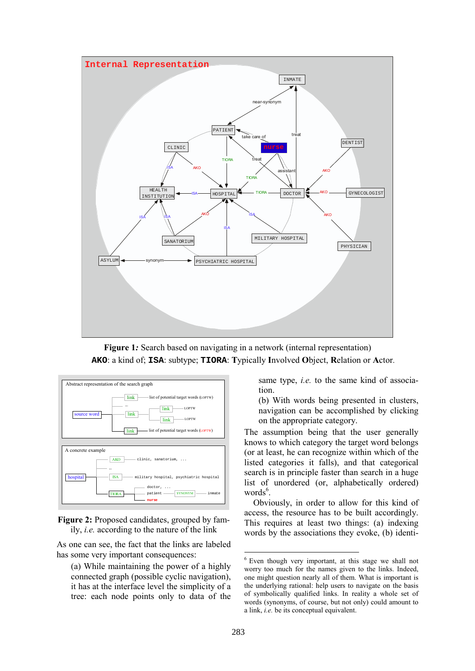

**Figure 1***:* Search based on navigating in a network (internal representation) **AKO**: a kind of; **ISA**: subtype; **TIORA**: **T**ypically **I**nvolved **O**bject, **R**elation or **A**ctor.



Figure 2: Proposed candidates, grouped by family, *i.e.* according to the nature of the link

As one can see, the fact that the links are labeled has some very important consequences:

(a) While maintaining the power of a highly connected graph (possible cyclic navigation), it has at the interface level the simplicity of a tree: each node points only to data of the same type, *i.e.* to the same kind of association.

(b) With words being presented in clusters, navigation can be accomplished by clicking on the appropriate category.

The assumption being that the user generally knows to which category the target word belongs (or at least, he can recognize within which of the listed categories it falls), and that categorical search is in principle faster than search in a huge list of unordered (or, alphabetically ordered) words<sup>6</sup>.

Obviously, in order to allow for this kind of access, the resource has to be built accordingly. This requires at least two things: (a) indexing words by the associations they evoke, (b) identi-

<sup>6</sup> Even though very important, at this stage we shall not worry too much for the names given to the links. Indeed, one might question nearly all of them. What is important is the underlying rational: help users to navigate on the basis of symbolically qualified links. In reality a whole set of words (synonyms, of course, but not only) could amount to a link, *i.e.* be its conceptual equivalent.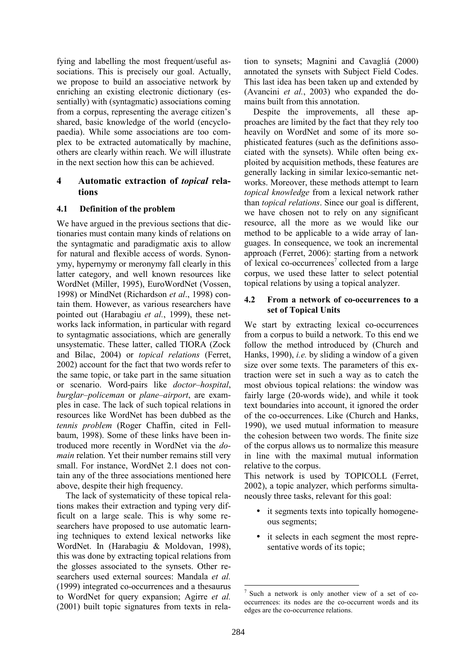fying and labelling the most frequent/useful associations. This is precisely our goal. Actually, we propose to build an associative network by enriching an existing electronic dictionary (essentially) with (syntagmatic) associations coming from a corpus, representing the average citizen's shared, basic knowledge of the world (encyclopaedia). While some associations are too complex to be extracted automatically by machine, others are clearly within reach. We will illustrate in the next section how this can be achieved.

# **4 Automatic extraction of** *topical* **relations**

## **4.1 Definition of the problem**

We have argued in the previous sections that dictionaries must contain many kinds of relations on the syntagmatic and paradigmatic axis to allow for natural and flexible access of words. Synonymy, hypernymy or meronymy fall clearly in this latter category, and well known resources like WordNet (Miller, 1995), EuroWordNet (Vossen, 1998) or MindNet (Richardson *et al*., 1998) contain them. However, as various researchers have pointed out (Harabagiu *et al.*, 1999), these networks lack information, in particular with regard to syntagmatic associations, which are generally unsystematic. These latter, called TIORA (Zock and Bilac, 2004) or *topical relations* (Ferret, 2002) account for the fact that two words refer to the same topic, or take part in the same situation or scenario. Word-pairs like *doctor*–*hospital*, *burglar*–*policeman* or *plane*–*airport*, are examples in case. The lack of such topical relations in resources like WordNet has been dubbed as the *tennis problem* (Roger Chaffin, cited in Fellbaum, 1998). Some of these links have been introduced more recently in WordNet via the *domain* relation. Yet their number remains still very small. For instance, WordNet 2.1 does not contain any of the three associations mentioned here above, despite their high frequency.

The lack of systematicity of these topical relations makes their extraction and typing very difficult on a large scale. This is why some researchers have proposed to use automatic learning techniques to extend lexical networks like WordNet. In (Harabagiu & Moldovan, 1998), this was done by extracting topical relations from the glosses associated to the synsets. Other researchers used external sources: Mandala *et al.* (1999) integrated co-occurrences and a thesaurus to WordNet for query expansion; Agirre *et al.* (2001) built topic signatures from texts in relation to synsets; Magnini and Cavagliá (2000) annotated the synsets with Subject Field Codes. This last idea has been taken up and extended by (Avancini *et al.*, 2003) who expanded the domains built from this annotation.

Despite the improvements, all these approaches are limited by the fact that they rely too heavily on WordNet and some of its more sophisticated features (such as the definitions associated with the synsets). While often being exploited by acquisition methods, these features are generally lacking in similar lexico-semantic networks. Moreover, these methods attempt to learn *topical knowledge* from a lexical network rather than *topical relations*. Since our goal is different, we have chosen not to rely on any significant resource, all the more as we would like our method to be applicable to a wide array of languages. In consequence, we took an incremental approach (Ferret, 2006): starting from a network of lexical co-occurrences<sup>7</sup> collected from a large corpus, we used these latter to select potential topical relations by using a topical analyzer.

## **4.2 From a network of co-occurrences to a set of Topical Units**

We start by extracting lexical co-occurrences from a corpus to build a network. To this end we follow the method introduced by (Church and Hanks, 1990), *i.e.* by sliding a window of a given size over some texts. The parameters of this extraction were set in such a way as to catch the most obvious topical relations: the window was fairly large (20-words wide), and while it took text boundaries into account, it ignored the order of the co-occurrences. Like (Church and Hanks, 1990), we used mutual information to measure the cohesion between two words. The finite size of the corpus allows us to normalize this measure in line with the maximal mutual information relative to the corpus.

This network is used by TOPICOLL (Ferret, 2002), a topic analyzer, which performs simultaneously three tasks, relevant for this goal:

- it segments texts into topically homogeneous segments;
- it selects in each segment the most representative words of its topic;

<sup>7</sup> Such a network is only another view of a set of cooccurrences: its nodes are the co-occurrent words and its edges are the co-occurrence relations.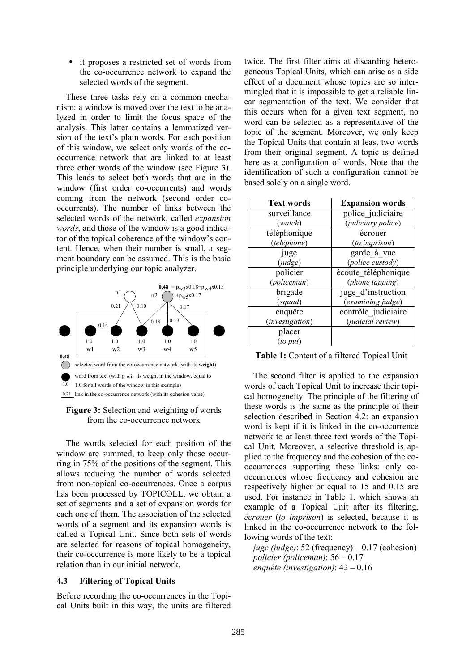it proposes a restricted set of words from the co-occurrence network to expand the selected words of the segment.

These three tasks rely on a common mechanism: a window is moved over the text to be analyzed in order to limit the focus space of the analysis. This latter contains a lemmatized version of the text's plain words. For each position of this window, we select only words of the cooccurrence network that are linked to at least three other words of the window (see Figure 3). This leads to select both words that are in the window (first order co-occurrents) and words coming from the network (second order cooccurrents). The number of links between the selected words of the network, called *expansion words*, and those of the window is a good indicator of the topical coherence of the window's content. Hence, when their number is small, a segment boundary can be assumed. This is the basic principle underlying our topic analyzer.



**Figure 3:** Selection and weighting of words from the co-occurrence network

The words selected for each position of the window are summed, to keep only those occurring in 75% of the positions of the segment. This allows reducing the number of words selected from non-topical co-occurrences. Once a corpus has been processed by TOPICOLL, we obtain a set of segments and a set of expansion words for each one of them. The association of the selected words of a segment and its expansion words is called a Topical Unit. Since both sets of words are selected for reasons of topical homogeneity, their co-occurrence is more likely to be a topical relation than in our initial network.

#### **4.3 Filtering of Topical Units**

Before recording the co-occurrences in the Topical Units built in this way, the units are filtered twice. The first filter aims at discarding heterogeneous Topical Units, which can arise as a side effect of a document whose topics are so intermingled that it is impossible to get a reliable linear segmentation of the text. We consider that this occurs when for a given text segment, no word can be selected as a representative of the topic of the segment. Moreover, we only keep the Topical Units that contain at least two words from their original segment. A topic is defined here as a configuration of words. Note that the identification of such a configuration cannot be based solely on a single word.

| <b>Text words</b> | <b>Expansion words</b> |
|-------------------|------------------------|
| surveillance      | police judiciaire      |
| (watch)           | (judiciary police)     |
| téléphonique      | écrouer                |
| (telephone)       | (to imprison)          |
| juge              | garde à vue            |
| (judge)           | (police custody)       |
| policier          | écoute téléphonique    |
| (policeman)       | (phone tapping)        |
| brigade           | juge d'instruction     |
| (squad)           | (examining judge)      |
| enquête           | contrôle judiciaire    |
| (investigation)   | (judicial review)      |
| placer            |                        |
| $(to\ put)$       |                        |

**Table 1:** Content of a filtered Topical Unit

The second filter is applied to the expansion words of each Topical Unit to increase their topical homogeneity. The principle of the filtering of these words is the same as the principle of their selection described in Section 4.2: an expansion word is kept if it is linked in the co-occurrence network to at least three text words of the Topical Unit. Moreover, a selective threshold is applied to the frequency and the cohesion of the cooccurrences supporting these links: only cooccurrences whose frequency and cohesion are respectively higher or equal to 15 and 0.15 are used. For instance in Table 1, which shows an example of a Topical Unit after its filtering, *écrouer* (*to imprison*) is selected, because it is linked in the co-occurrence network to the following words of the text:

*juge (judge)*: 52 (frequency) – 0.17 (cohesion) *policier (policeman)*: 56 – 0.17 *enquête (investigation)*: 42 – 0.16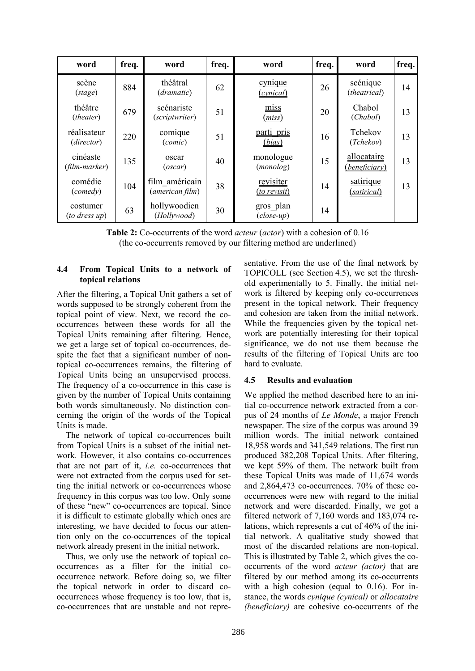| word                          | freq. | word                              | freq. | word                             | freq. | word                                | freq. |
|-------------------------------|-------|-----------------------------------|-------|----------------------------------|-------|-------------------------------------|-------|
| scène<br>(stage)              | 884   | théâtral<br>(dramatic)            | 62    | cynique<br>(cynical)             | 26    | scénique<br>(theatrical)            | 14    |
| théâtre<br>(theater)          | 679   | scénariste<br>(scriptwriter)      | 51    | miss<br>(miss)                   | 20    | Chabol<br>(Chabol)                  | 13    |
| réalisateur<br>(director)     | 220   | comique<br>(conic)                | 51    | parti pris<br>(bias)             | 16    | Tchekov<br>(Tchekov)                | 13    |
| cinéaste<br>(film-marker)     | 135   | oscar<br>(oscar)                  | 40    | monologue<br>(monolog)           | 15    | allocataire<br><i>(beneficiary)</i> | 13    |
| comédie<br>(connedy)          | 104   | film américain<br>(american film) | 38    | revisiter<br><i>(to revisit)</i> | 14    | satirique<br><i>(satirical)</i>     | 13    |
| costumer<br>$(to$ dress $up)$ | 63    | hollywoodien<br>(Hollywood)       | 30    | gros plan<br>$(close-up)$        | 14    |                                     |       |

**Table 2:** Co-occurrents of the word *acteur* (*actor*) with a cohesion of 0.16 (the co-occurrents removed by our filtering method are underlined)

## **4.4 From Topical Units to a network of topical relations**

After the filtering, a Topical Unit gathers a set of words supposed to be strongly coherent from the topical point of view. Next, we record the cooccurrences between these words for all the Topical Units remaining after filtering. Hence, we get a large set of topical co-occurrences, despite the fact that a significant number of nontopical co-occurrences remains, the filtering of Topical Units being an unsupervised process. The frequency of a co-occurrence in this case is given by the number of Topical Units containing both words simultaneously. No distinction concerning the origin of the words of the Topical Units is made.

The network of topical co-occurrences built from Topical Units is a subset of the initial network. However, it also contains co-occurrences that are not part of it, *i.e.* co-occurrences that were not extracted from the corpus used for setting the initial network or co-occurrences whose frequency in this corpus was too low. Only some of these "new" co-occurrences are topical. Since it is difficult to estimate globally which ones are interesting, we have decided to focus our attention only on the co-occurrences of the topical network already present in the initial network.

Thus, we only use the network of topical cooccurrences as a filter for the initial cooccurrence network. Before doing so, we filter the topical network in order to discard cooccurrences whose frequency is too low, that is, co-occurrences that are unstable and not repre-

sentative. From the use of the final network by TOPICOLL (see Section 4.5), we set the threshold experimentally to 5. Finally, the initial network is filtered by keeping only co-occurrences present in the topical network. Their frequency and cohesion are taken from the initial network. While the frequencies given by the topical network are potentially interesting for their topical significance, we do not use them because the results of the filtering of Topical Units are too hard to evaluate.

# **4.5 Results and evaluation**

We applied the method described here to an initial co-occurrence network extracted from a corpus of 24 months of *Le Monde*, a major French newspaper. The size of the corpus was around 39 million words. The initial network contained 18,958 words and 341,549 relations. The first run produced 382,208 Topical Units. After filtering, we kept 59% of them. The network built from these Topical Units was made of 11,674 words and 2,864,473 co-occurrences. 70% of these cooccurrences were new with regard to the initial network and were discarded. Finally, we got a filtered network of 7,160 words and 183,074 relations, which represents a cut of 46% of the initial network. A qualitative study showed that most of the discarded relations are non-topical. This is illustrated by Table 2, which gives the cooccurrents of the word *acteur (actor)* that are filtered by our method among its co-occurrents with a high cohesion (equal to 0.16). For instance, the words *cynique (cynical)* or *allocataire (beneficiary)* are cohesive co-occurrents of the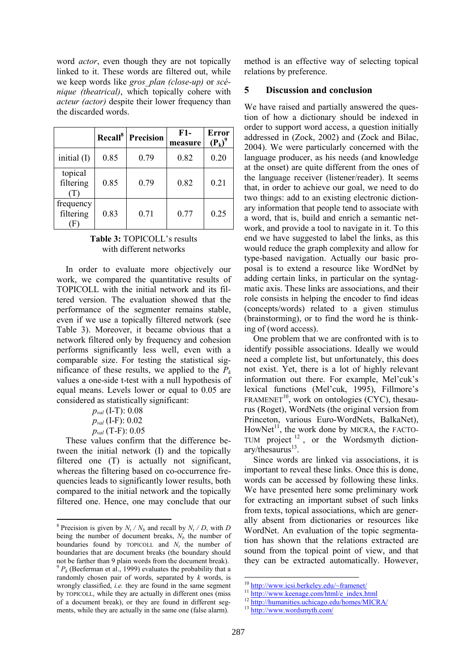word *actor*, even though they are not topically linked to it. These words are filtered out, while we keep words like *gros\_plan (close-up)* or *scénique (theatrical)*, which topically cohere with *acteur (actor)* despite their lower frequency than the discarded words.

|                             |      | Recall <sup>8</sup> Precision | F1-<br>measure | <b>Error</b><br>$(P_k)^9$ |
|-----------------------------|------|-------------------------------|----------------|---------------------------|
| initial (I)                 | 0.85 | 0.79                          | 0.82           | 0.20                      |
| topical<br>filtering<br>(T) | 0.85 | 0.79                          | 0.82           | 0.21                      |
| frequency<br>filtering      | 0.83 | 0.71                          | 0.77           | 0.25                      |

## **Table 3:** TOPICOLL's results with different networks

In order to evaluate more objectively our work, we compared the quantitative results of TOPICOLL with the initial network and its filtered version. The evaluation showed that the performance of the segmenter remains stable, even if we use a topically filtered network (see Table 3). Moreover, it became obvious that a network filtered only by frequency and cohesion performs significantly less well, even with a comparable size. For testing the statistical significance of these results, we applied to the  $P_k$ values a one-side t-test with a null hypothesis of equal means. Levels lower or equal to 0.05 are considered as statistically significant:

> *pval* (I-T): 0.08 *pval* (I-F): 0.02 *pval* (T-F): 0.05

These values confirm that the difference between the initial network (I) and the topically filtered one (T) is actually not significant, whereas the filtering based on co-occurrence frequencies leads to significantly lower results, both compared to the initial network and the topically filtered one. Hence, one may conclude that our

method is an effective way of selecting topical relations by preference.

#### **5 Discussion and conclusion**

We have raised and partially answered the question of how a dictionary should be indexed in order to support word access, a question initially addressed in (Zock, 2002) and (Zock and Bilac, 2004). We were particularly concerned with the language producer, as his needs (and knowledge at the onset) are quite different from the ones of the language receiver (listener/reader). It seems that, in order to achieve our goal, we need to do two things: add to an existing electronic dictionary information that people tend to associate with a word, that is, build and enrich a semantic network, and provide a tool to navigate in it. To this end we have suggested to label the links, as this would reduce the graph complexity and allow for type-based navigation. Actually our basic proposal is to extend a resource like WordNet by adding certain links, in particular on the syntagmatic axis. These links are associations, and their role consists in helping the encoder to find ideas (concepts/words) related to a given stimulus (brainstorming), or to find the word he is thinking of (word access).

One problem that we are confronted with is to identify possible associations. Ideally we would need a complete list, but unfortunately, this does not exist. Yet, there is a lot of highly relevant information out there. For example, Mel'cuk's lexical functions (Mel'cuk, 1995), Fillmore's  $FRAMENET<sup>10</sup>$ , work on ontologies (CYC), thesaurus (Roget), WordNets (the original version from Princeton, various Euro-WordNets, BalkaNet), HowNet<sup>11</sup>, the work done by MICRA, the FACTO-TUM project <sup>12</sup> , or the Wordsmyth diction $ary/thesaurus<sup>13</sup>.$ 

Since words are linked via associations, it is important to reveal these links. Once this is done, words can be accessed by following these links. We have presented here some preliminary work for extracting an important subset of such links from texts, topical associations, which are generally absent from dictionaries or resources like WordNet. An evaluation of the topic segmentation has shown that the relations extracted are sound from the topical point of view, and that they can be extracted automatically. However,

<sup>&</sup>lt;sup>8</sup> Precision is given by  $N_t / N_b$  and recall by  $N_t / D$ , with *D* being the number of document breaks,  $N_b$  the number of boundaries found by TOPICOLL and  $N_t$  the number of boundaries that are document breaks (the boundary should not be farther than 9 plain words from the document break).

 $^{9}P_{k}$  (Beeferman et al., 1999) evaluates the probability that a randomly chosen pair of words, separated by *k* words, is wrongly classified, *i.e.* they are found in the same segment by TOPICOLL, while they are actually in different ones (miss of a document break), or they are found in different segments, while they are actually in the same one (false alarm).

<sup>&</sup>lt;sup>10</sup> http://www.icsi.berkeley.edu/~framenet/<br><sup>11</sup> http://www.keenage.com/html/e\_index.html<br><sup>12</sup> http://humanities.uchicago.edu/homes/MICRA/<br><sup>13</sup> http://www.wordsmyth.com/